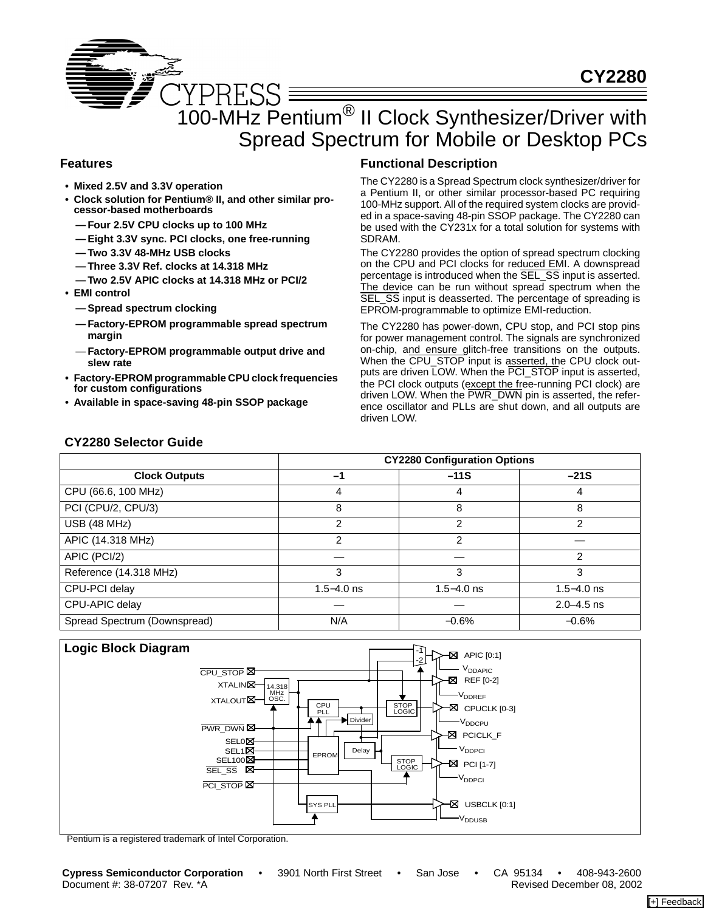# 100-MHz Pentium® II Clock Synthesizer/Driver with Spread Spectrum for Mobile or Desktop PCs

## **Features**

- **Mixed 2.5V and 3.3V operation**
- **Clock solution for Pentium® II, and other similar processor-based motherboards**
	- **Four 2.5V CPU clocks up to 100 MHz**
	- **Eight 3.3V sync. PCI clocks, one free-running**
	- **Two 3.3V 48-MHz USB clocks**
	- **Three 3.3V Ref. clocks at 14.318 MHz**
	- **Two 2.5V APIC clocks at 14.318 MHz or PCI/2**
- **EMI control**
	- **Spread spectrum clocking**

**CY2280 Selector Guide**

- **Factory-EPROM programmable spread spectrum margin**
- **Factory-EPROM programmable output drive and slew rate**
- **• Factory-EPROM programmable CPU clock frequencies for custom configurations**
- **• Available in space-saving 48-pin SSOP package**

## **Functional Description**

The CY2280 is a Spread Spectrum clock synthesizer/driver for a Pentium II, or other similar processor-based PC requiring 100-MHz support. All of the required system clocks are provided in a space-saving 48-pin SSOP package. The CY2280 can be used with the CY231x for a total solution for systems with SDRAM.

The CY2280 provides the option of spread spectrum clocking on the CPU and PCI clocks for reduced EMI. A downspread percentage is introduced when the SEL\_SS input is asserted. The device can be run without spread spectrum when the SEL\_SS input is deasserted. The percentage of spreading is EPROM-programmable to optimize EMI-reduction.

The CY2280 has power-down, CPU stop, and PCI stop pins for power management control. The signals are synchronized on-chip, and ensure glitch-free transitions on the outputs. When the CPU\_STOP input is asserted, the CPU clock outputs are driven LOW. When the PCI\_STOP input is asserted, the PCI clock outputs (except the free-running PCI clock) are driven LOW. When the PWR\_DWN pin is asserted, the reference oscillator and PLLs are shut down, and all outputs are driven LOW.

|                              |                | <b>CY2280 Configuration Options</b> |                |
|------------------------------|----------------|-------------------------------------|----------------|
| <b>Clock Outputs</b>         | -1             | $-11S$                              | $-21S$         |
| CPU (66.6, 100 MHz)          | 4              | 4                                   | 4              |
| PCI (CPU/2, CPU/3)           | 8              | 8                                   | 8              |
| USB (48 MHz)                 | $\mathcal{P}$  | 2                                   | 2              |
| APIC (14.318 MHz)            | 2              | 2                                   |                |
| APIC (PCI/2)                 |                |                                     | 2              |
| Reference (14.318 MHz)       | 3              | 3                                   | 3              |
| CPU-PCI delay                | $1.5 - 4.0$ ns | $1.5 - 4.0$ ns                      | $1.5 - 4.0$ ns |
| CPU-APIC delay               |                |                                     | $2.0 - 4.5$ ns |
| Spread Spectrum (Downspread) | N/A            | $-0.6%$                             | $-0.6%$        |



Pentium is a registered trademark of Intel Corporation.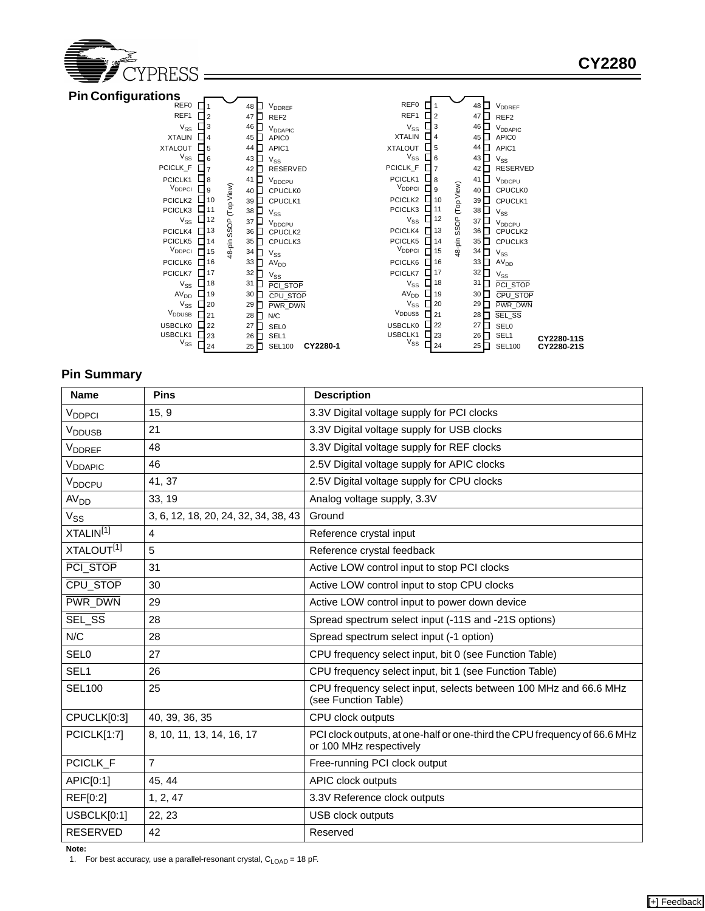

| <b>Pin Configurations</b> |             |            |    |                     |          |                     |                |      |                   |                 |                     |            |
|---------------------------|-------------|------------|----|---------------------|----------|---------------------|----------------|------|-------------------|-----------------|---------------------|------------|
| REF0                      |             |            | 48 | V <sub>DDREF</sub>  |          | REF0                |                |      |                   | 48 O            | V <sub>DDREF</sub>  |            |
| REF1                      | $\Box$ 2    |            | 47 | REF <sub>2</sub>    |          | REF1                | $\overline{2}$ |      | 47                |                 | REF <sub>2</sub>    |            |
| $V_{SS}$                  | <b>コ</b> 3  |            | 46 | V <sub>DDAPIC</sub> |          | $V_{SS}$            | 3              |      |                   | 46 <b>N</b>     | V <sub>DDAPIC</sub> |            |
| <b>XTALIN</b>             | $\Box$ 4    |            | 45 | APIC <sub>0</sub>   |          | <b>XTALIN</b>       | $\overline{4}$ |      |                   | 45              | APIC0               |            |
| <b>XTALOUT</b>            | $\_5$       |            | 44 | APIC1               |          | <b>XTALOUT</b>      | 5              |      |                   | $44\Box$        | APIC1               |            |
| $V_{SS}$                  | 6           |            | 43 | $V_{SS}$            |          | $V_{SS}$            | 6              |      |                   | 43              | $V_{SS}$            |            |
| PCICLK_F                  |             |            | 42 | RESERVED            |          | PCICLK_F            |                |      |                   | $42\Box$        | RESERVED            |            |
| PCICLK1                   | - 18        |            | 41 | V <sub>DDCPU</sub>  |          | PCICLK1             | 8              |      | 41                |                 | V <sub>DDCPU</sub>  |            |
| V <sub>DDPCI</sub>        | و ل         |            | 40 | CPUCLK0             |          | V <sub>DDPCI</sub>  |                | 9    |                   | $40\Box$        | CPUCLK0             |            |
| PCICLK2                   | <b>J</b> 10 | (Top View) | 39 | CPUCLK1             |          | PCICLK2             |                | 10   | (Top View)        | 39 <sub>1</sub> | CPUCLK1             |            |
| PCICLK3                   | $L$ 11      |            | 38 | $V_{SS}$            |          | PCICLK3             |                | 11   |                   | 38 <sup>2</sup> | $V_{SS}$            |            |
| $V_{SS}$                  | $\Box$ 12   | SSOP       | 37 | V <sub>DDCPU</sub>  |          | $V_{SS}$            |                | 12   | 48-pin SSOP<br>37 |                 | V <sub>DDCPU</sub>  |            |
| PCICLK4                   | TI 13       |            | 36 | CPUCLK2             |          | PCICLK4             |                | 13   |                   | 36              | CPUCLK2             |            |
| PCICLK5                   | 1114        | 48-pin     | 35 | CPUCLK3             |          | PCICLK5             |                | 14   |                   | $35\Box$        | CPUCLK3             |            |
| V <sub>DDPCI</sub>        | 15          |            | 34 | $V_{SS}$            |          | V <sub>DDPCI</sub>  |                | 15   |                   | $34$ $\Pi$      | $V_{SS}$            |            |
| PCICLK6                   | 16          |            | 33 | AV <sub>DD</sub>    |          | PCICLK6             |                | 16   |                   | $33\Box$        | AV <sub>DD</sub>    |            |
| PCICLK7                   | 117         |            | 32 | $V_{SS}$            |          | PCICLK7             |                | 17   |                   | $32\Box$        | $V_{SS}$            |            |
| $V_{SS}$                  | 118         |            | 31 | PCI STOP            |          | $V_{SS}$            |                | 18   | 31                |                 | PCI STOP            |            |
| AV <sub>DD</sub>          | 19          |            | 30 | CPU STOP            |          | AV <sub>DD</sub>    |                | 19   |                   | 30              | CPU STOP            |            |
| $V_{SS}$                  | 120         |            | 29 | PWR DWN             |          | $V_{SS}$            |                | 20   |                   | $29\Box$        | <b>PWR DWN</b>      |            |
| V <sub>DDUSB</sub>        | $\Box$ 21   |            | 28 | N/C                 |          | V <sub>DDUSB</sub>  |                | l 21 |                   | 28 <b>H</b>     | SEL_SS              |            |
| <b>USBCLK0</b>            | 122         |            | 27 | <b>SEL0</b>         |          | <b>USBCLK0</b>      |                | 22   |                   | 27 F            | <b>SEL0</b>         |            |
| USBCLK1<br>$V_{SS}$       | $\sqcup$ 23 |            | 26 | SEL1                |          | USBCLK1<br>$V_{SS}$ |                | 23   |                   | $26\Box$        | SEL <sub>1</sub>    | CY2280-11S |
|                           | 24          |            | 25 | <b>SEL100</b>       | CY2280-1 |                     |                | 24   |                   | $25\Box$        | <b>SEL100</b>       | CY2280-21S |

## **Pin Summary**

| <b>Name</b>               | <b>Pins</b>                          | <b>Description</b>                                                                                   |
|---------------------------|--------------------------------------|------------------------------------------------------------------------------------------------------|
| V <sub>DDPCI</sub>        | 15, 9                                | 3.3V Digital voltage supply for PCI clocks                                                           |
| <b>V</b> <sub>DDUSB</sub> | 21                                   | 3.3V Digital voltage supply for USB clocks                                                           |
| V <sub>DDREF</sub>        | 48                                   | 3.3V Digital voltage supply for REF clocks                                                           |
| V <sub>DDAPIC</sub>       | 46                                   | 2.5V Digital voltage supply for APIC clocks                                                          |
| V <sub>DDCPU</sub>        | 41, 37                               | 2.5V Digital voltage supply for CPU clocks                                                           |
| AV <sub>DD</sub>          | 33, 19                               | Analog voltage supply, 3.3V                                                                          |
| $V_{SS}$                  | 3, 6, 12, 18, 20, 24, 32, 34, 38, 43 | Ground                                                                                               |
| XTALIN <sup>[1]</sup>     | $\overline{4}$                       | Reference crystal input                                                                              |
| XTALOUT <sup>[1]</sup>    | 5                                    | Reference crystal feedback                                                                           |
| PCI STOP                  | 31                                   | Active LOW control input to stop PCI clocks                                                          |
| CPU STOP                  | 30                                   | Active LOW control input to stop CPU clocks                                                          |
| <b>PWR DWN</b>            | 29                                   | Active LOW control input to power down device                                                        |
| SEL SS                    | 28                                   | Spread spectrum select input (-11S and -21S options)                                                 |
| N/C                       | 28                                   | Spread spectrum select input (-1 option)                                                             |
| <b>SEL0</b>               | 27                                   | CPU frequency select input, bit 0 (see Function Table)                                               |
| SEL <sub>1</sub>          | 26                                   | CPU frequency select input, bit 1 (see Function Table)                                               |
| <b>SEL100</b>             | 25                                   | CPU frequency select input, selects between 100 MHz and 66.6 MHz<br>(see Function Table)             |
| CPUCLK[0:3]               | 40, 39, 36, 35                       | CPU clock outputs                                                                                    |
| PCICLK[1:7]               | 8, 10, 11, 13, 14, 16, 17            | PCI clock outputs, at one-half or one-third the CPU frequency of 66.6 MHz<br>or 100 MHz respectively |
| PCICLK_F                  | $\overline{7}$                       | Free-running PCI clock output                                                                        |
| APIC[0:1]                 | 45, 44                               | <b>APIC clock outputs</b>                                                                            |
| REF[0:2]                  | 1, 2, 47                             | 3.3V Reference clock outputs                                                                         |
| USBCLK[0:1]               | 22, 23                               | USB clock outputs                                                                                    |
| <b>RESERVED</b>           | 42                                   | Reserved                                                                                             |

**Note:**

1. For best accuracy, use a parallel-resonant crystal, C<sub>LOAD</sub> = 18 pF.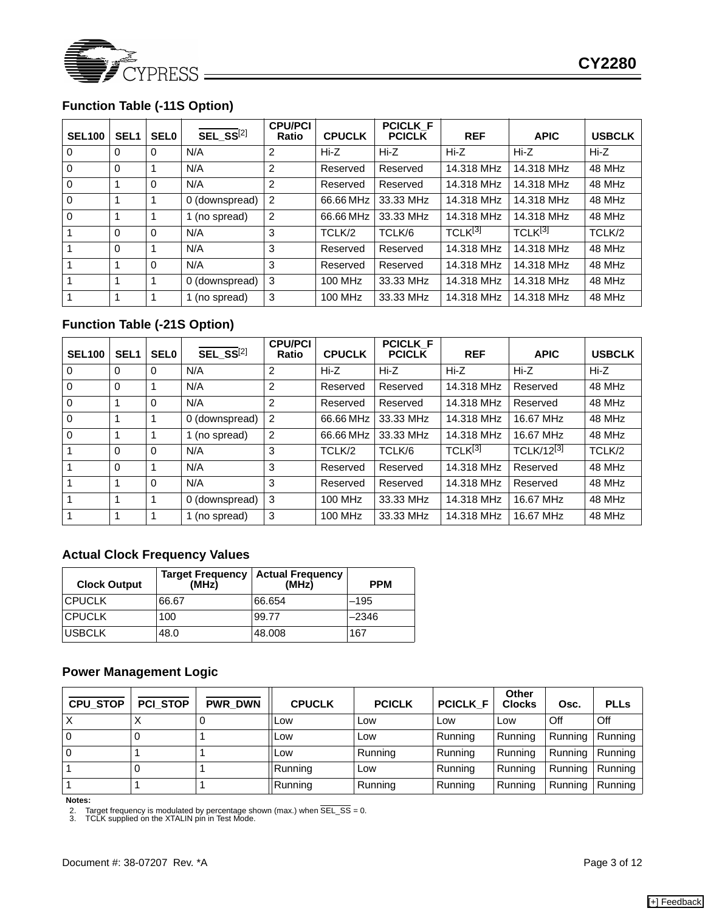

# **Function Table (-11S Option)**

| <b>SEL100</b>  | SEL <sub>1</sub> | <b>SEL0</b> | $\overline{\text{SEL} \ \text{SS}}^{[2]}$ | <b>CPU/PCI</b><br><b>Ratio</b> | <b>CPUCLK</b> | <b>PCICLK F</b><br><b>PCICLK</b> | <b>REF</b>          | <b>APIC</b>          | <b>USBCLK</b> |
|----------------|------------------|-------------|-------------------------------------------|--------------------------------|---------------|----------------------------------|---------------------|----------------------|---------------|
| $\Omega$       | $\Omega$         | $\Omega$    | N/A                                       | 2                              | Hi-Z          | Hi-Z                             | Hi-Z                | Hi-Z                 | $Hi-Z$        |
| $\Omega$       | $\Omega$         |             | N/A                                       | $\overline{2}$                 | Reserved      | Reserved                         | 14.318 MHz          | 14.318 MHz           | 48 MHz        |
| $\Omega$       |                  | $\Omega$    | N/A                                       | 2                              | Reserved      | Reserved                         | 14.318 MHz          | 14.318 MHz           | 48 MHz        |
| $\overline{0}$ |                  |             | 0 (downspread)                            | 2                              | 66.66 MHz     | 33.33 MHz                        | 14.318 MHz          | 14.318 MHz           | 48 MHz        |
| $\overline{0}$ |                  |             | 1 (no spread)                             | 2                              | 66.66 MHz     | 33.33 MHz                        | 14.318 MHz          | 14.318 MHz           | 48 MHz        |
| $\mathbf{1}$   | $\Omega$         | $\Omega$    | N/A                                       | 3                              | TCLK/2        | TCLK/6                           | TCLK <sup>[3]</sup> | TCLK <sup>[3]</sup>  | TCLK/2        |
| 1              | $\Omega$         |             | N/A                                       | 3                              | Reserved      | Reserved                         | 14.318 MHz          | 14.318 MHz           | 48 MHz        |
| 1              |                  | $\Omega$    | N/A                                       | 3                              | Reserved      | Reserved                         | 14.318 MHz          | 48 MHz<br>14.318 MHz |               |
| $\mathbf{1}$   |                  |             | 0 (downspread)                            | 3                              | 100 MHz       | 33.33 MHz                        | 14.318 MHz          | 14.318 MHz<br>48 MHz |               |
| $\mathbf{1}$   |                  |             | 1 (no spread)                             | 3                              | 100 MHz       | 33.33 MHz                        | 14.318 MHz          | 14.318 MHz           | 48 MHz        |

# **Function Table (-21S Option)**

| <b>SEL100</b>  | SEL <sub>1</sub> | <b>SEL0</b> | $\overline{\text{SEL}}$ SS <sup>[2]</sup> | <b>CPU/PCI</b><br><b>Ratio</b> | <b>CPUCLK</b>  | <b>PCICLK F</b><br><b>PCICLK</b> | <b>REF</b>          | <b>APIC</b>          | <b>USBCLK</b> |
|----------------|------------------|-------------|-------------------------------------------|--------------------------------|----------------|----------------------------------|---------------------|----------------------|---------------|
| $\overline{0}$ | $\Omega$         | $\Omega$    | N/A                                       | 2                              | Hi-Z           | $Hi-Z$                           | $Hi-Z$              | $Hi-Z$               | Hi-Z          |
| $\Omega$       | $\Omega$         |             | N/A                                       | 2                              | Reserved       | Reserved                         | 14.318 MHz          | Reserved             | 48 MHz        |
| $\Omega$       |                  | $\Omega$    | N/A                                       | 2                              | Reserved       | Reserved                         | 14.318 MHz          | Reserved             | 48 MHz        |
| $\overline{0}$ |                  |             | 0 (downspread)                            | 2                              | 66.66 MHz      | 33.33 MHz                        | 14.318 MHz          | 48 MHz<br>16.67 MHz  |               |
| $\overline{0}$ |                  |             | 1 (no spread)                             | 2                              | 66.66 MHz      | 33.33 MHz                        | 14.318 MHz          | 16.67 MHz            | 48 MHz        |
| 1              | $\Omega$         | $\Omega$    | N/A                                       | 3                              | TCLK/2         | TCLK/6                           | TCLK <sup>[3]</sup> | TCLK/12[3]<br>TCLK/2 |               |
| $\mathbf{1}$   | $\Omega$         |             | N/A                                       | 3                              | Reserved       | Reserved                         | 14.318 MHz          | Reserved             | 48 MHz        |
| 1              | 1                | $\Omega$    | N/A                                       | 3                              | Reserved       | Reserved                         | 14.318 MHz          | Reserved             | 48 MHz        |
| 1              |                  |             | 0 (downspread)                            | 3                              | <b>100 MHz</b> | 33.33 MHz                        | 14.318 MHz          | 48 MHz<br>16.67 MHz  |               |
| 1              |                  |             | 1 (no spread)                             | 3                              | 100 MHz        | 33.33 MHz                        | 14.318 MHz          | 16.67 MHz            | 48 MHz        |

## **Actual Clock Frequency Values**

| <b>Clock Output</b> | (MHz) | Target Frequency   Actual Frequency<br>(MHz) | <b>PPM</b> |
|---------------------|-------|----------------------------------------------|------------|
| ICPUCLK             | 66.67 | 66.654                                       | $-195$     |
| <b>CPUCLK</b>       | 100   | 99.77                                        | $-2346$    |
| <b>USBCLK</b>       | 48.0  | 48,008                                       | 167        |

## **Power Management Logic**

| <b>CPU_STOP</b> | <b>PCI_STOP</b> | PWR_DWN | <b>CPUCLK</b> | <b>PCICLK</b> | <b>PCICLK F</b> | Other<br><b>Clocks</b> | Osc.              | <b>PLLs</b> |
|-----------------|-----------------|---------|---------------|---------------|-----------------|------------------------|-------------------|-------------|
|                 |                 |         | <b>Low</b>    | Low           | Low             | _OW                    | Off               | Off         |
| ۱0              |                 |         | <b>Low</b>    | Low           | Running         | Running                | Running   Running |             |
| l O             |                 |         | Low           | Running       | Running         | Running                | Running   Running |             |
|                 |                 |         | Running       | Low           | Running         | Running                | Running   Running |             |
|                 |                 |         | Running       | Running       | Running         | Running                | Running   Running |             |

**Notes:**

2. Target frequency is modulated by percentage shown (max.) when SEL\_SS = 0. 3. TCLK supplied on the XTALIN pin in Test Mode.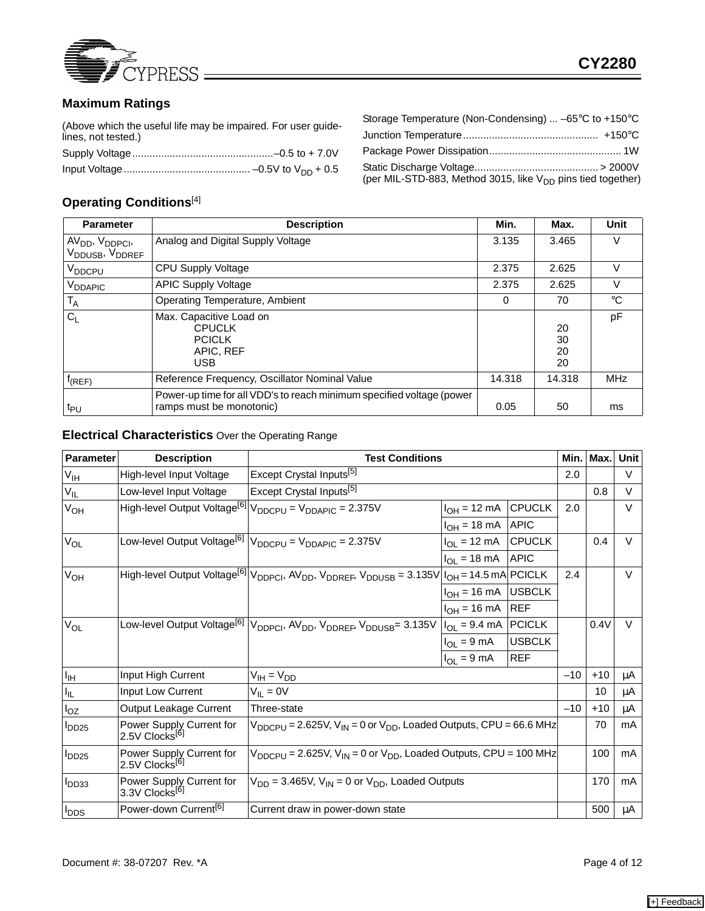

# **Maximum Ratings**

(Above which the useful life may be impaired. For user guidelines, not tested.)

| Storage Temperature (Non-Condensing) $\dots$ -65°C to +150°C            |  |
|-------------------------------------------------------------------------|--|
|                                                                         |  |
|                                                                         |  |
| (per MIL-STD-883, Method 3015, like V <sub>DD</sub> pins tied together) |  |

# **Operating Conditions**[4]

| <b>Parameter</b>                                                                   | <b>Description</b>                                                                                | Min.   | Max.                 | <b>Unit</b> |
|------------------------------------------------------------------------------------|---------------------------------------------------------------------------------------------------|--------|----------------------|-------------|
| AV <sub>DD</sub> , V <sub>DDPCI</sub> ,<br>V <sub>DDUSB</sub> , V <sub>DDREF</sub> | Analog and Digital Supply Voltage                                                                 | 3.135  | 3.465                | V           |
| V <sub>DDCPU</sub>                                                                 | CPU Supply Voltage                                                                                | 2.375  | 2.625                | v           |
| V <sub>DDAPIC</sub>                                                                | <b>APIC Supply Voltage</b>                                                                        | 2.375  | 2.625                | v           |
| $T_A$                                                                              | Operating Temperature, Ambient                                                                    | 0      | 70                   | $^{\circ}C$ |
| C <sub>1</sub>                                                                     | Max. Capacitive Load on<br><b>CPUCLK</b><br><b>PCICLK</b><br>APIC, REF<br><b>USB</b>              |        | 20<br>30<br>20<br>20 | pF          |
| $f_{(REF)}$                                                                        | Reference Frequency, Oscillator Nominal Value                                                     | 14.318 | 14.318               | <b>MHz</b>  |
| $t_{PU}$                                                                           | Power-up time for all VDD's to reach minimum specified voltage (power<br>ramps must be monotonic) | 0.05   | 50                   | ms          |

#### **Electrical Characteristics** Over the Operating Range

| Parameter              | <b>Description</b>                                     | <b>Test Conditions</b>                                                                                                                                |                         |               | Min.l | Max.  | <b>Unit</b> |
|------------------------|--------------------------------------------------------|-------------------------------------------------------------------------------------------------------------------------------------------------------|-------------------------|---------------|-------|-------|-------------|
| $V_{\text{IH}}$        | High-level Input Voltage                               | Except Crystal Inputs <sup>[5]</sup>                                                                                                                  |                         |               | 2.0   |       | V           |
| $V_{IL}$               | Low-level Input Voltage                                | Except Crystal Inputs <sup>[5]</sup>                                                                                                                  |                         |               |       | 0.8   | $\vee$      |
| V <sub>OH</sub>        | High-level Output Voltage <sup>[6]</sup>               | $V_{DDCPU} = V_{DDAPIC} = 2.375V$                                                                                                                     | $IOH = 12 mA$           | <b>CPUCLK</b> | 2.0   |       | $\vee$      |
|                        |                                                        |                                                                                                                                                       | $IOH = 18 mA$           | <b>APIC</b>   |       |       |             |
| V <sub>OL</sub>        | Low-level Output Voltage <sup>[6]</sup>                | $V_{DDCPU} = V_{DDAPIC} = 2.375V$                                                                                                                     | $I_{OL}$ = 12 mA        | <b>CPUCLK</b> |       | 0.4   | $\vee$      |
|                        |                                                        |                                                                                                                                                       | $I_{OL}$ = 18 mA        | <b>APIC</b>   |       |       |             |
| $V_{OH}$               |                                                        | High-level Output Voltage <sup>[6]</sup> $ V_{DDPC}$ , AV <sub>DD</sub> , V <sub>DDREF</sub> , V <sub>DDUSB</sub> = 3.135V $ I_{OH}$ = 14.5 mA PCICLK |                         |               | 2.4   |       | $\vee$      |
|                        |                                                        |                                                                                                                                                       | $I_{OH}$ = 16 mA        | <b>USBCLK</b> |       |       |             |
|                        |                                                        |                                                                                                                                                       | $I_{OH}$ = 16 mA        | <b>REF</b>    |       |       |             |
| $V_{OL}$               | Low-level Output Voltage <sup>[6]</sup>                | V <sub>DDPCI</sub> , AV <sub>DD</sub> , V <sub>DDREF</sub> , V <sub>DDUSB</sub> = 3.135V                                                              | $IOL = 9.4 mA$ PCICLK   |               |       | 0.4V  | V           |
|                        |                                                        |                                                                                                                                                       | $I_{OL} = 9 \text{ mA}$ | <b>USBCLK</b> |       |       |             |
|                        |                                                        |                                                                                                                                                       | $I_{OL}$ = 9 mA         | <b>REF</b>    |       |       |             |
| $I_{\text{IH}}$        | Input High Current                                     | $V_{IH} = V_{DD}$                                                                                                                                     |                         |               | $-10$ | $+10$ | μA          |
| $I_{\rm IL}$           | Input Low Current                                      | $V_{IL} = 0V$                                                                                                                                         |                         |               |       | 10    | μA          |
| $I_{OZ}$               | Output Leakage Current                                 | Three-state                                                                                                                                           |                         |               | $-10$ | $+10$ | μA          |
| <b>DD<sub>25</sub></b> | Power Supply Current for<br>2.5V Clocks <sup>[6]</sup> | $V_{\text{DDCPU}}$ = 2.625V, $V_{\text{IN}}$ = 0 or $V_{\text{DD}}$ , Loaded Outputs, CPU = 66.6 MHz                                                  |                         |               |       | 70    | mA          |
| $I_{DD25}$             | Power Supply Current for<br>2.5V Clocks <sup>[6]</sup> | $V_{DDCPU} = 2.625V$ , $V_{IN} = 0$ or $V_{DD}$ , Loaded Outputs, CPU = 100 MHz                                                                       |                         |               |       | 100   | mA          |
| I <sub>DD33</sub>      | Power Supply Current for<br>3.3V Clocks <sup>[6]</sup> | $V_{DD}$ = 3.465V, $V_{IN}$ = 0 or $V_{DD}$ , Loaded Outputs                                                                                          |                         |               |       | 170   | mA          |
| $I_{\text{DDS}}$       | Power-down Current <sup>[6]</sup>                      | Current draw in power-down state                                                                                                                      |                         |               |       | 500   | μA          |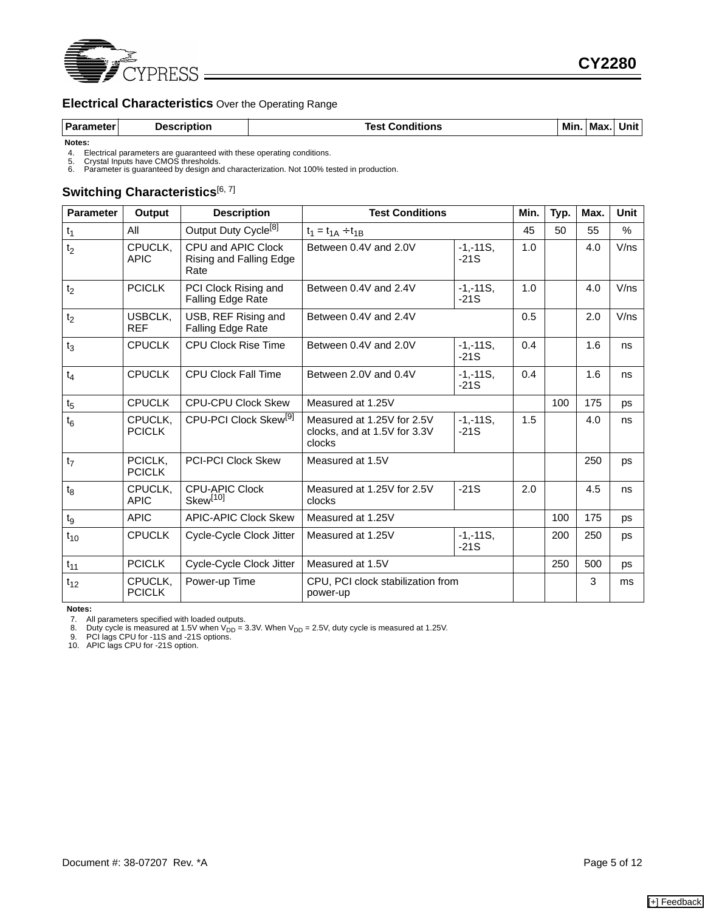

## **Electrical Characteristics** Over the Operating Range

|  | <b>Parameter</b> | <b>Description</b> | <b>Conditions</b><br>est. | Min | Max. | Unit |
|--|------------------|--------------------|---------------------------|-----|------|------|
|--|------------------|--------------------|---------------------------|-----|------|------|

**Notes:**

4. Electrical parameters are guaranteed with these operating conditions.<br>5. Crystal Inputs have CMOS thresholds.<br>6. Parameter is guaranteed by design and characterization. Not 100% tested in production.

## Switching Characteristics<sup>[6, 7]</sup>

| <b>Parameter</b> | <b>Output</b>            | <b>Description</b>                                    | <b>Test Conditions</b>                                               |                       | Min. | Typ. | Max. | <b>Unit</b> |
|------------------|--------------------------|-------------------------------------------------------|----------------------------------------------------------------------|-----------------------|------|------|------|-------------|
| $t_1$            | All                      | Output Duty Cycle <sup>[8]</sup>                      | $t_1 = t_{1A} \div t_{1B}$                                           |                       | 45   | 50   | 55   | %           |
| t <sub>2</sub>   | CPUCLK,<br><b>APIC</b>   | CPU and APIC Clock<br>Rising and Falling Edge<br>Rate | $-1, -11S,$<br>Between 0.4V and 2.0V<br>$-21S$                       |                       | 1.0  |      | 4.0  | V/ns        |
| t <sub>2</sub>   | <b>PCICLK</b>            | PCI Clock Rising and<br><b>Falling Edge Rate</b>      | Between 0.4V and 2.4V<br>$-1, -11S,$<br>$-21S$                       |                       | 1.0  |      | 4.0  | V/ns        |
| t <sub>2</sub>   | USBCLK,<br><b>REF</b>    | USB, REF Rising and<br>Falling Edge Rate              | Between 0.4V and 2.4V                                                |                       | 0.5  |      | 2.0  | V/ns        |
| $t_3$            | <b>CPUCLK</b>            | <b>CPU Clock Rise Time</b>                            | Between 0.4V and 2.0V<br>$-1, -11S,$<br>$-21S$                       |                       | 0.4  |      | 1.6  | ns          |
| $t_4$            | <b>CPUCLK</b>            | <b>CPU Clock Fall Time</b>                            | Between 2.0V and 0.4V                                                | $-1, -11S,$<br>$-21S$ |      |      | 1.6  | ns          |
| $t_{5}$          | <b>CPUCLK</b>            | <b>CPU-CPU Clock Skew</b>                             | Measured at 1.25V                                                    |                       |      | 100  | 175  | ps          |
| $t_6$            | CPUCLK.<br><b>PCICLK</b> | CPU-PCI Clock Skew <sup>[9]</sup>                     | Measured at 1.25V for 2.5V<br>clocks, and at 1.5V for 3.3V<br>clocks | $-1, -11S,$<br>$-21S$ | 1.5  |      | 4.0  | ns          |
| t <sub>7</sub>   | PCICLK,<br><b>PCICLK</b> | <b>PCI-PCI Clock Skew</b>                             | Measured at 1.5V                                                     |                       |      |      | 250  | ps          |
| $t_8$            | CPUCLK,<br><b>APIC</b>   | <b>CPU-APIC Clock</b><br>Skew <sup>[10]</sup>         | Measured at 1.25V for 2.5V<br>$-21S$<br>clocks                       |                       | 2.0  |      | 4.5  | ns          |
| $\mathfrak{t}_9$ | <b>APIC</b>              | <b>APIC-APIC Clock Skew</b>                           | Measured at 1.25V                                                    |                       |      | 100  | 175  | ps          |
| $t_{10}$         | <b>CPUCLK</b>            | Cycle-Cycle Clock Jitter                              | Measured at 1.25V                                                    | $-1, -11S,$<br>$-21S$ |      | 200  | 250  | ps          |
| $t_{11}$         | <b>PCICLK</b>            | Cycle-Cycle Clock Jitter                              | Measured at 1.5V                                                     |                       |      | 250  | 500  | ps          |
| $t_{12}$         | CPUCLK,<br><b>PCICLK</b> | Power-up Time                                         | CPU, PCI clock stabilization from<br>power-up                        |                       |      |      | 3    | ms          |

**Notes:**

7. All parameters specified with loaded outputs.<br>8. Duty cycle is measured at 1.5V when V<sub>DD</sub> = 3.3V. When V<sub>DD</sub> = 2.5V, duty cycle is measured at 1.25V.<br>9. PCI lags CPU for -21S and -21S options.<br>10. APIC lags CPU for -21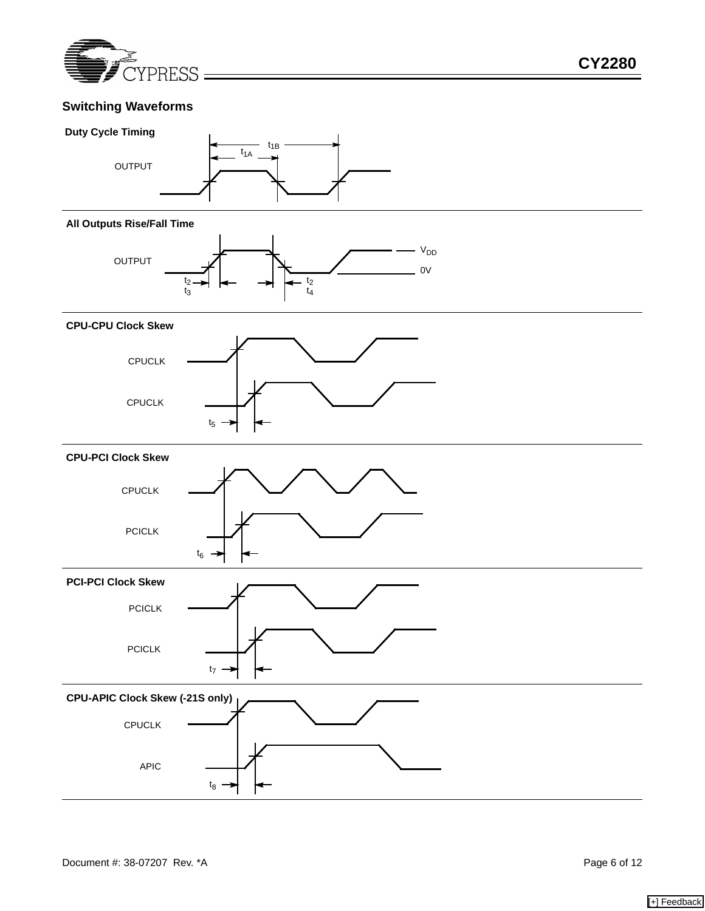

## **Switching Waveforms**



#### **All Outputs Rise/Fall Time**



#### **CPU-CPU Clock Skew**



## **CPU-PCI Clock Skew**



#### **PCI-PCI Clock Skew**



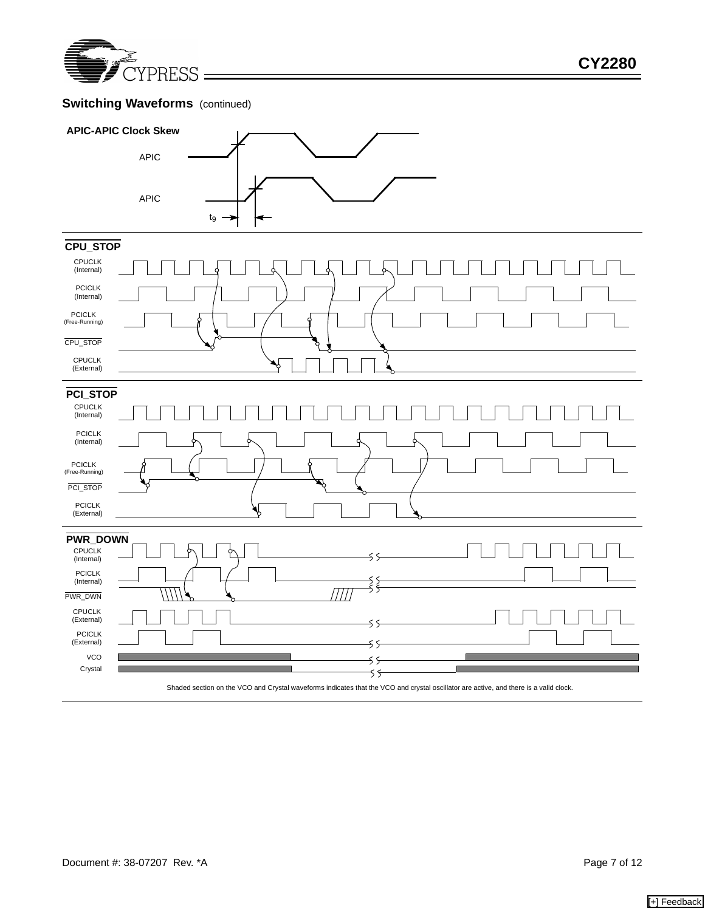

# **Switching Waveforms** (continued)



Shaded section on the VCO and Crystal waveforms indicates that the VCO and crystal oscillator are active, and there is a valid clock.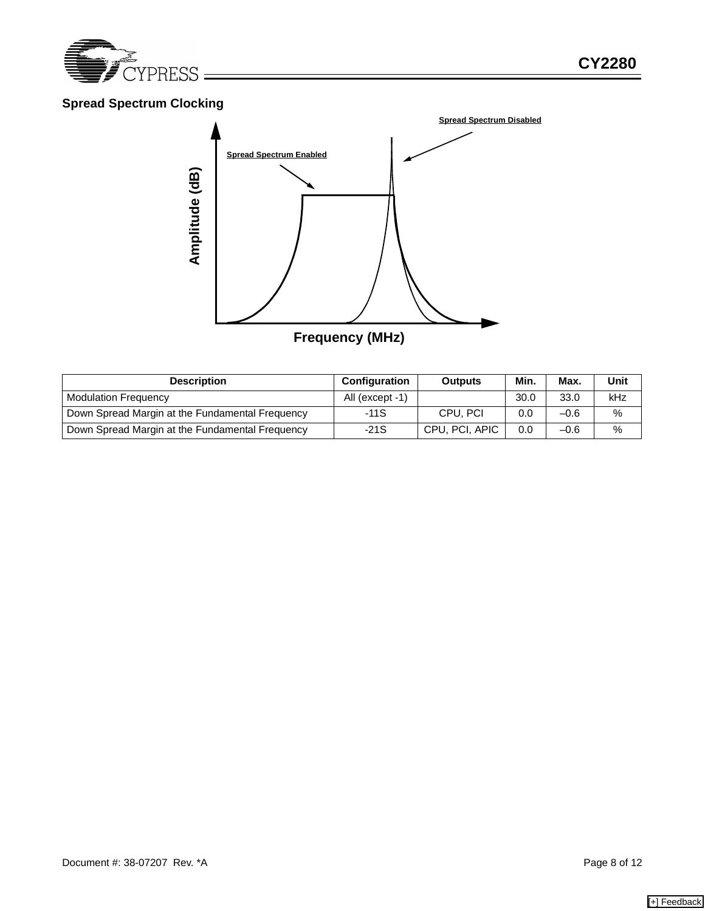

# **Spread Spectrum Clocking**



| <b>Description</b>                              | <b>Configuration</b> | <b>Outputs</b> | Min. | Max.   | Unit |
|-------------------------------------------------|----------------------|----------------|------|--------|------|
| <b>Modulation Frequency</b>                     | All (except -1)      |                | 30.0 | 33.0   | kHz  |
| Down Spread Margin at the Fundamental Frequency | $-11S$               | CPU, PCI       | 0.0  | $-0.6$ | $\%$ |
| Down Spread Margin at the Fundamental Frequency | $-21S$               | CPU, PCI, APIC | 0.0  | $-0.6$ | $\%$ |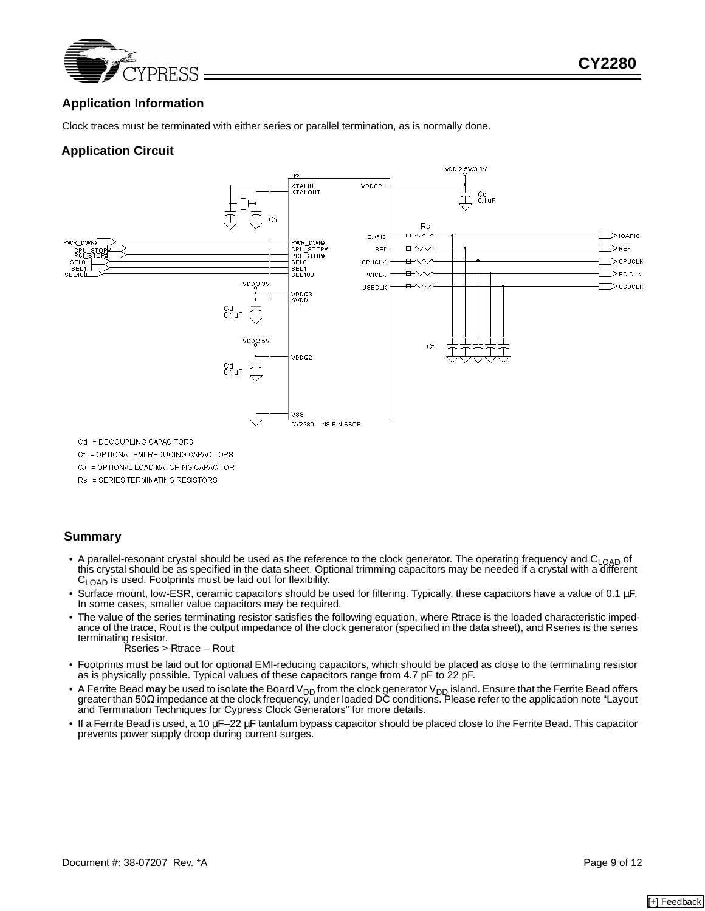

## **Application Information**

Clock traces must be terminated with either series or parallel termination, as is normally done.

## **Application Circuit**



Cd = DECOUPLING CAPACITORS

Ct = OPTIONAL EMI-REDUCING CAPACITORS

Cx = OPTIONAL LOAD MATCHING CAPACITOR

Rs = SERIES TERMINATING RESISTORS

#### **Summary**

- A parallel-resonant crystal should be used as the reference to the clock generator. The operating frequency and C<sub>LOAD</sub> of this crystal should be as specified in the data sheet. Optional trimming capacitors may be needed if a crystal with a different C<sub>LOAD</sub> is used. Footprints must be laid out for flexibility.
- Surface mount, low-ESR, ceramic capacitors should be used for filtering. Typically, these capacitors have a value of 0.1 µF. In some cases, smaller value capacitors may be required.
- The value of the series terminating resistor satisfies the following equation, where Rtrace is the loaded characteristic impedance of the trace, Rout is the output impedance of the clock generator (specified in the data sheet), and Rseries is the series terminating resistor.

Rseries > Rtrace – Rout

- Footprints must be laid out for optional EMI-reducing capacitors, which should be placed as close to the terminating resistor as is physically possible. Typical values of these capacitors range from 4.7 pF to 22 pF.
- A Ferrite Bead **may** be used to isolate the Board V<sub>DD</sub> from the clock generator V<sub>DD</sub> island. Ensure that the Ferrite Bead offers<br>greater than 50Ω impedance at the clock frequency, under loaded DC conditions. Please r and Termination Techniques for Cypress Clock Generators" for more details.
- If a Ferrite Bead is used, a 10 µF–22 µF tantalum bypass capacitor should be placed close to the Ferrite Bead. This capacitor prevents power supply droop during current surges.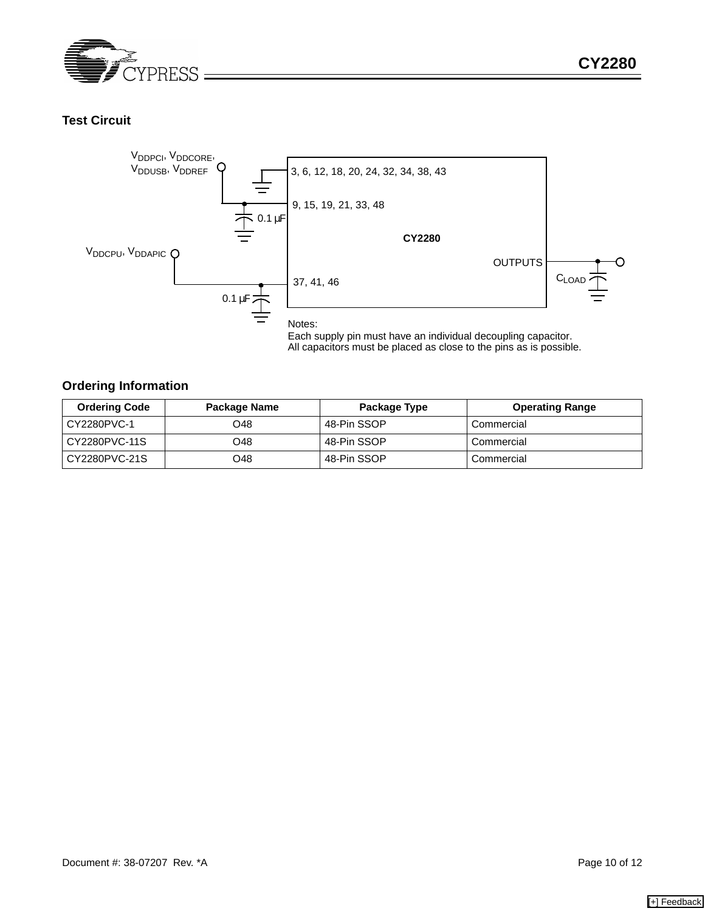

## **Test Circuit**



Each supply pin must have an individual decoupling capacitor. All capacitors must be placed as close to the pins as is possible.

### **Ordering Information**

| <b>Ordering Code</b> | Package Name | Package Type | <b>Operating Range</b> |
|----------------------|--------------|--------------|------------------------|
| CY2280PVC-1          | O48          | 48-Pin SSOP  | Commercial             |
| CY2280PVC-11S        | O48          | 48-Pin SSOP  | Commercial             |
| CY2280PVC-21S        | O48          | 48-Pin SSOP  | Commercial             |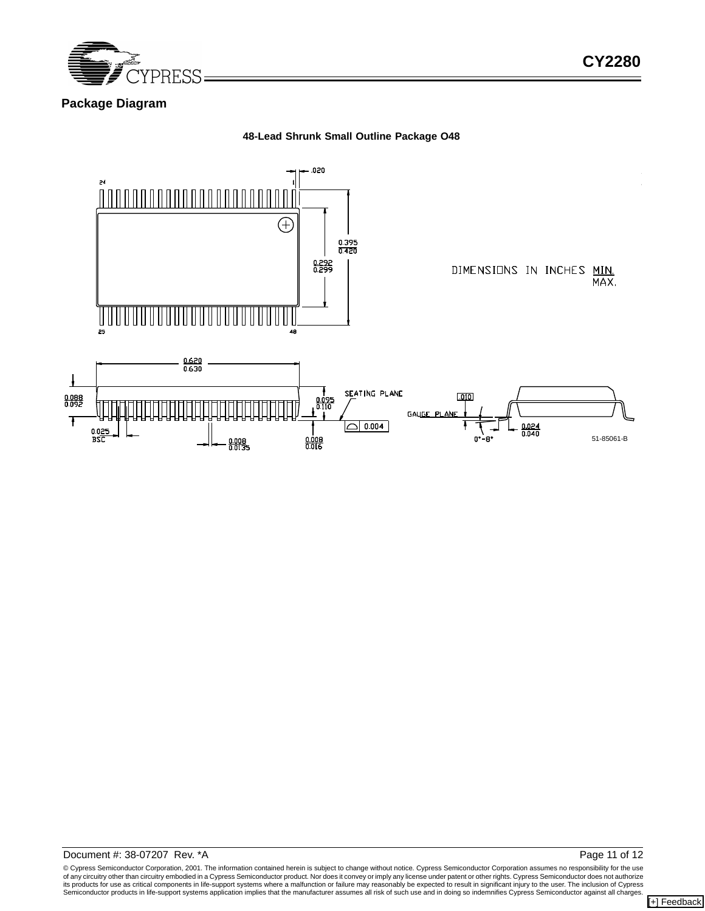

## **Package Diagram**

#### **48-Lead Shrunk Small Outline Package O48**



© Cypress Semiconductor Corporation, 2001. The information contained herein is subject to change without notice. Cypress Semiconductor Corporation assumes no responsibility for the use of any circuitry other than circuitry embodied in a Cypress Semiconductor product. Nor does it convey or imply any license under patent or other rights. Cypress Semiconductor does not authorize<br>its products for use as crit